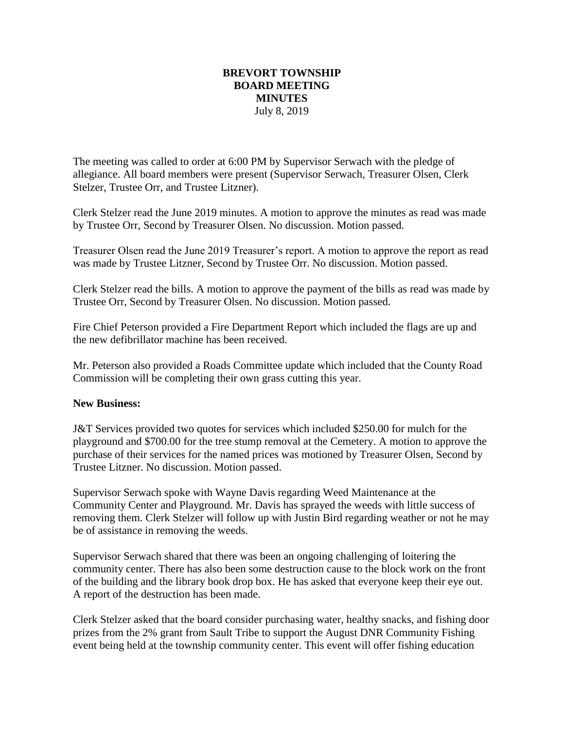## **BREVORT TOWNSHIP BOARD MEETING MINUTES** July 8, 2019

The meeting was called to order at 6:00 PM by Supervisor Serwach with the pledge of allegiance. All board members were present (Supervisor Serwach, Treasurer Olsen, Clerk Stelzer, Trustee Orr, and Trustee Litzner).

Clerk Stelzer read the June 2019 minutes. A motion to approve the minutes as read was made by Trustee Orr, Second by Treasurer Olsen. No discussion. Motion passed.

Treasurer Olsen read the June 2019 Treasurer's report. A motion to approve the report as read was made by Trustee Litzner, Second by Trustee Orr. No discussion. Motion passed.

Clerk Stelzer read the bills. A motion to approve the payment of the bills as read was made by Trustee Orr, Second by Treasurer Olsen. No discussion. Motion passed.

Fire Chief Peterson provided a Fire Department Report which included the flags are up and the new defibrillator machine has been received.

Mr. Peterson also provided a Roads Committee update which included that the County Road Commission will be completing their own grass cutting this year.

## **New Business:**

J&T Services provided two quotes for services which included \$250.00 for mulch for the playground and \$700.00 for the tree stump removal at the Cemetery. A motion to approve the purchase of their services for the named prices was motioned by Treasurer Olsen, Second by Trustee Litzner. No discussion. Motion passed.

Supervisor Serwach spoke with Wayne Davis regarding Weed Maintenance at the Community Center and Playground. Mr. Davis has sprayed the weeds with little success of removing them. Clerk Stelzer will follow up with Justin Bird regarding weather or not he may be of assistance in removing the weeds.

Supervisor Serwach shared that there was been an ongoing challenging of loitering the community center. There has also been some destruction cause to the block work on the front of the building and the library book drop box. He has asked that everyone keep their eye out. A report of the destruction has been made.

Clerk Stelzer asked that the board consider purchasing water, healthy snacks, and fishing door prizes from the 2% grant from Sault Tribe to support the August DNR Community Fishing event being held at the township community center. This event will offer fishing education